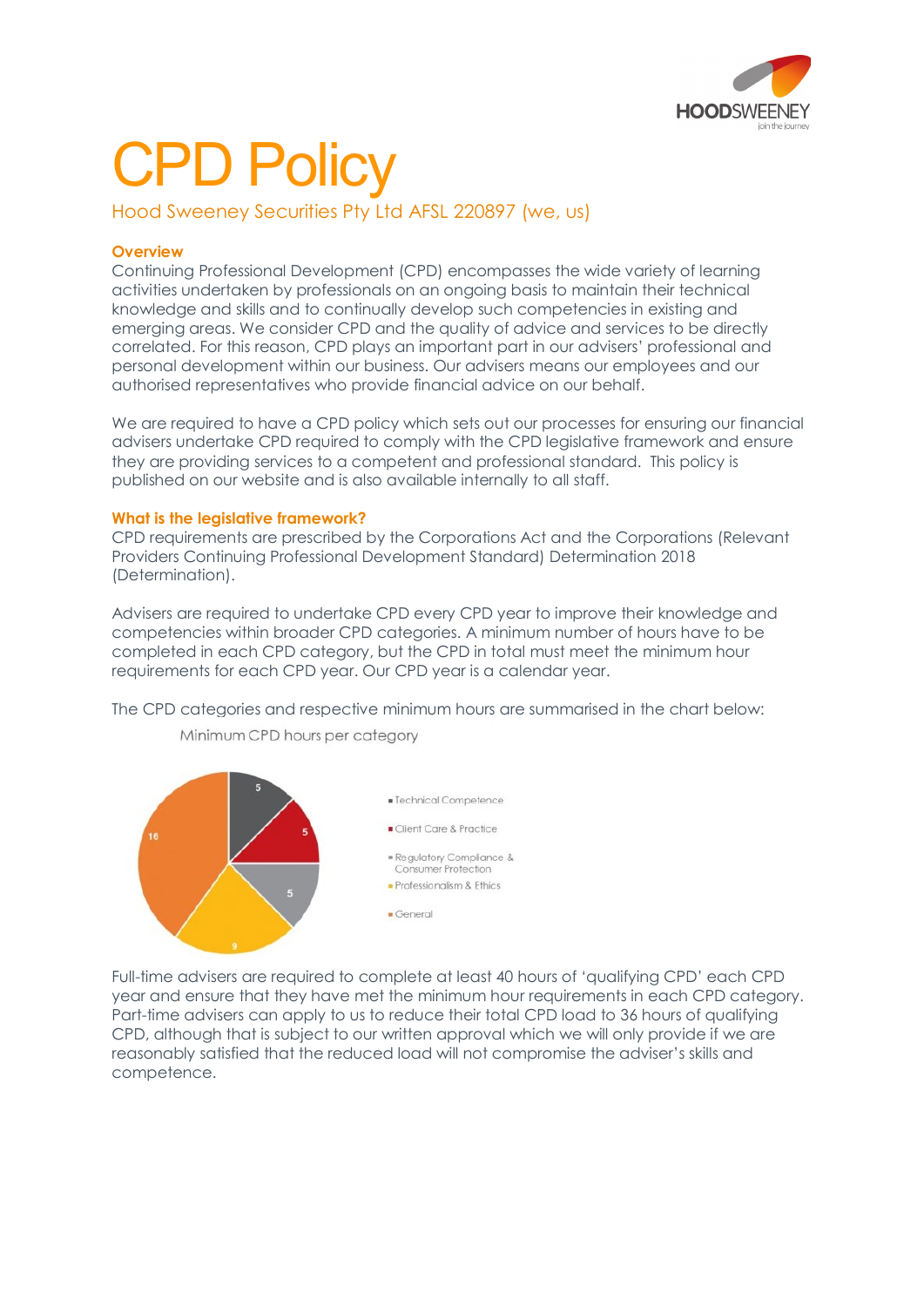

# CPD Policy

Hood Sweeney Securities Pty Ltd AFSL 220897 (we, us)

# **Overview**

Continuing Professional Development (CPD) encompasses the wide variety of learning activities undertaken by professionals on an ongoing basis to maintain their technical knowledge and skills and to continually develop such competencies in existing and emerging areas. We consider CPD and the quality of advice and services to be directly correlated. For this reason, CPD plays an important part in our advisers' professional and personal development within our business. Our advisers means our employees and our authorised representatives who provide financial advice on our behalf.

We are required to have a CPD policy which sets out our processes for ensuring our financial advisers undertake CPD required to comply with the CPD legislative framework and ensure they are providing services to a competent and professional standard. This policy is published on our website and is also available internally to all staff.

# **What is the legislative framework?**

CPD requirements are prescribed by the Corporations Act and the Corporations (Relevant Providers Continuing Professional Development Standard) Determination 2018 (Determination).

Advisers are required to undertake CPD every CPD year to improve their knowledge and competencies within broader CPD categories. A minimum number of hours have to be completed in each CPD category, but the CPD in total must meet the minimum hour requirements for each CPD year. Our CPD year is a calendar year.

The CPD categories and respective minimum hours are summarised in the chart below:



Minimum CPD hours per category

Full-time advisers are required to complete at least 40 hours of 'qualifying CPD' each CPD year and ensure that they have met the minimum hour requirements in each CPD category. Part-time advisers can apply to us to reduce their total CPD load to 36 hours of qualifying CPD, although that is subject to our written approval which we will only provide if we are reasonably satisfied that the reduced load will not compromise the adviser's skills and competence.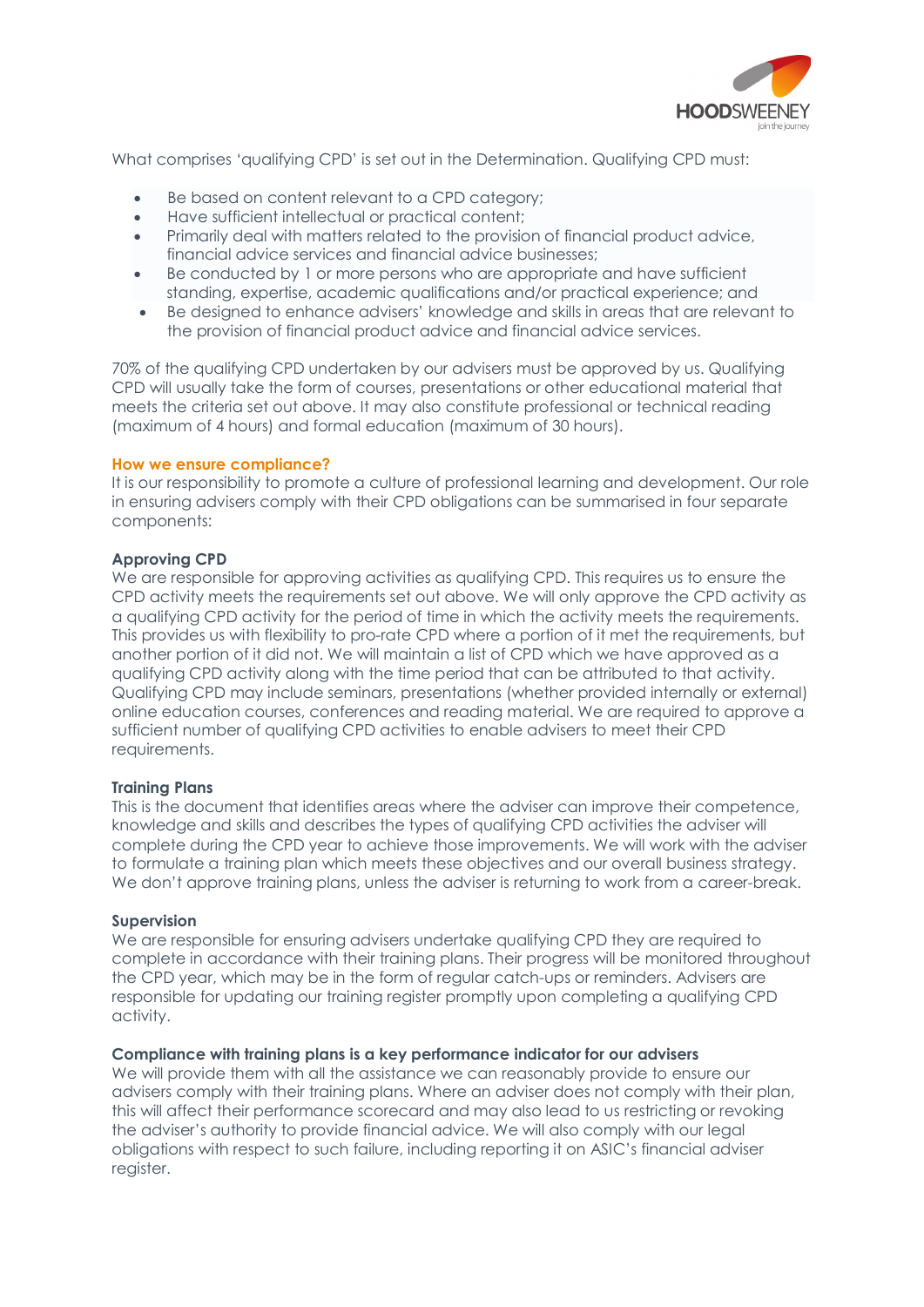

What comprises 'qualifying CPD' is set out in the Determination. Qualifying CPD must:

- Be based on content relevant to a CPD category:
- Have sufficient intellectual or practical content;
- Primarily deal with matters related to the provision of financial product advice, financial advice services and financial advice businesses;
- Be conducted by 1 or more persons who are appropriate and have sufficient standing, expertise, academic qualifications and/or practical experience; and
- Be designed to enhance advisers' knowledge and skills in areas that are relevant to the provision of financial product advice and financial advice services.

70% of the qualifying CPD undertaken by our advisers must be approved by us. Qualifying CPD will usually take the form of courses, presentations or other educational material that meets the criteria set out above. It may also constitute professional or technical reading (maximum of 4 hours) and formal education (maximum of 30 hours).

## **How we ensure compliance?**

It is our responsibility to promote a culture of professional learning and development. Our role in ensuring advisers comply with their CPD obligations can be summarised in four separate components:

# **Approving CPD**

We are responsible for approving activities as qualifying CPD. This requires us to ensure the CPD activity meets the requirements set out above. We will only approve the CPD activity as a qualifying CPD activity for the period of time in which the activity meets the requirements. This provides us with flexibility to pro-rate CPD where a portion of it met the requirements, but another portion of it did not. We will maintain a list of CPD which we have approved as a qualifying CPD activity along with the time period that can be attributed to that activity. Qualifying CPD may include seminars, presentations (whether provided internally or external) online education courses, conferences and reading material. We are required to approve a sufficient number of qualifying CPD activities to enable advisers to meet their CPD requirements.

## **Training Plans**

This is the document that identifies areas where the adviser can improve their competence, knowledge and skills and describes the types of qualifying CPD activities the adviser will complete during the CPD year to achieve those improvements. We will work with the adviser to formulate a training plan which meets these objectives and our overall business strategy. We don't approve training plans, unless the adviser is returning to work from a career-break.

## **Supervision**

We are responsible for ensuring advisers undertake qualifying CPD they are required to complete in accordance with their training plans. Their progress will be monitored throughout the CPD year, which may be in the form of regular catch-ups or reminders. Advisers are responsible for updating our training register promptly upon completing a qualifying CPD activity.

## **Compliance with training plans is a key performance indicator for our advisers**

We will provide them with all the assistance we can reasonably provide to ensure our advisers comply with their training plans. Where an adviser does not comply with their plan, this will affect their performance scorecard and may also lead to us restricting or revoking the adviser's authority to provide financial advice. We will also comply with our legal obligations with respect to such failure, including reporting it on ASIC's financial adviser register.